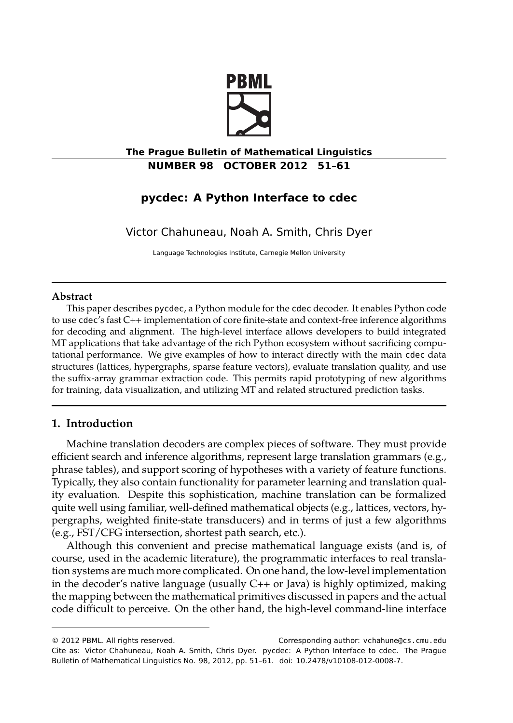

## **The Prague Bulletin of Mathematical Linguistics NUMBER 98 OCTOBER 2012 51–61**

# **pycdec: A Python Interface to cdec**

Victor Chahuneau, Noah A. Smith, Chris Dyer

Language Technologies Institute, Carnegie Mellon University

## **Abstract**

This paper describes pycdec, a Python module for the cdec decoder. It enables Python code to use cdec's fast C++ implementation of core finite-state and context-free inference algorithms for decoding and alignment. The high-level interface allows developers to build integrated MT applications that take advantage of the rich Python ecosystem without sacrificing computational performance. We give examples of how to interact directly with the main cdec data structures (lattices, hypergraphs, sparse feature vectors), evaluate translation quality, and use the suffix-array grammar extraction code. This permits rapid prototyping of new algorithms for training, data visualization, and utilizing MT and related structured prediction tasks.

## **1. Introduction**

Machine translation decoders are complex pieces of software. They must provide efficient search and inference algorithms, represent large translation grammars (e.g., phrase tables), and support scoring of hypotheses with a variety of feature functions. Typically, they also contain functionality for parameter learning and translation quality evaluation. Despite this sophistication, machine translation can be formalized quite well using familiar, well-defined mathematical objects (e.g., lattices, vectors, hypergraphs, weighted finite-state transducers) and in terms of just a few algorithms (e.g., FST/CFG intersection, shortest path search, etc.).

Although this convenient and precise mathematical language exists (and is, of course, used in the academic literature), the programmatic interfaces to real translation systems are much more complicated. On one hand, the low-level implementation in the decoder's native language (usually C++ or Java) is highly optimized, making the mapping between the mathematical primitives discussed in papers and the actual code difficult to perceive. On the other hand, the high-level command-line interface

© 2012 PBML. All rights reserved. Corresponding author: vchahune@cs.cmu.edu Cite as: Victor Chahuneau, Noah A. Smith, Chris Dyer. pycdec: A Python Interface to cdec. The Prague Bulletin of Mathematical Linguistics No. 98, 2012, pp. 51–61. doi: 10.2478/v10108-012-0008-7.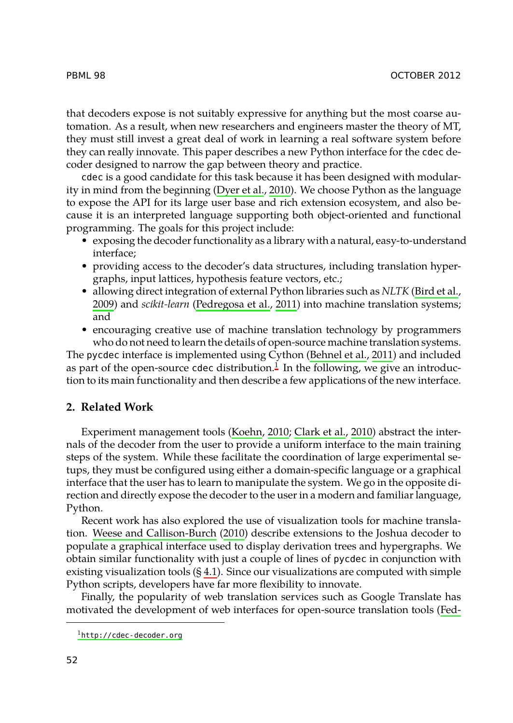that decoders expose is not suitably expressive for anything but the most coarse automation. As a result, when new researchers and engineers master the theory of MT, they must still invest a great deal of work in learning a real software system before they can really innovate. This paper describes a new Python interface for the cdec decoder designed to narrow the gap between theory and practice.

cdec is a good candidate for this task because it has been designed with [modular](#page-9-0)ity in [mind](#page-9-0) from the beginn[ing \(Dyer et al.,](#page-10-0) 2[010\).](#page-10-0) We choose Python as the language to expose the API for its large user base and rich extension ecosystem, and also because it is an interpreted language supporting both object-oriented and functional programming. The goals for this project include:

- exposing the decoder functionality as a [li](#page-1-0)brary [with a natura](#page-9-1)l[, easy](#page-9-1)-to-understand interface;
- providing access to the decoder's data structures, including translation hypergraphs, input lattices, hypothesis feature vectors, etc.;
- allowing direct integration of external Python libraries such as *NLTK* (Bird et al., 2009) and *scikit-learn* (Pedreg[osa et a](#page-10-1)l., [201](#page-10-1)[1\) into machine tr](#page-9-2)anslation systems; and
- encouraging creative use of machine translation technology by programmers who do not need to learn the details of open-source machine translation systems.

The pycdec interface is implemented using Cython (Behnel et al., 2011) and included as part of the open-source cdec distribution. $^1$  In the following, we give an introduction to its main functionality and then describe a few applications of the new interface.

## **2. R[elated Work](#page-10-2)**

Experiment management tools (Koehn, 2010; Clark et al., 2010) abstract the internals of the decoder from the user to provide a uniform interface to the main training steps of the system. While th[ese](#page-4-0) facilitate the coordination of large experimental setups, they must be configured using either a domain-specific language or a graphical interface that the user has to learn to manipulate the system. We go in the opposite direction and directly expose the decoder to the user in a modern and familiar lang[uage,](#page-9-3) Python.

<span id="page-1-0"></span>[Recent work has also](#page-9-3) explored the use of visualization tools for machine translation. Weese and Callison-Burch (2010) describe extensions to the Joshua decoder to populate a graphical interface used to display derivation trees and hypergraphs. We obtain similar functionality with just a couple of lines of pycdec in conjunction with existing visualization tools  $(§ 4.1)$ . Since our visualizations are computed with simple Python scripts, developers have far more flexibility to innovate.

Finally, the popularity of web translation services such as Google Translate has motivated the development of web interfaces for open-source translation tools (Fed-

<sup>1</sup>http://cdec-decoder.org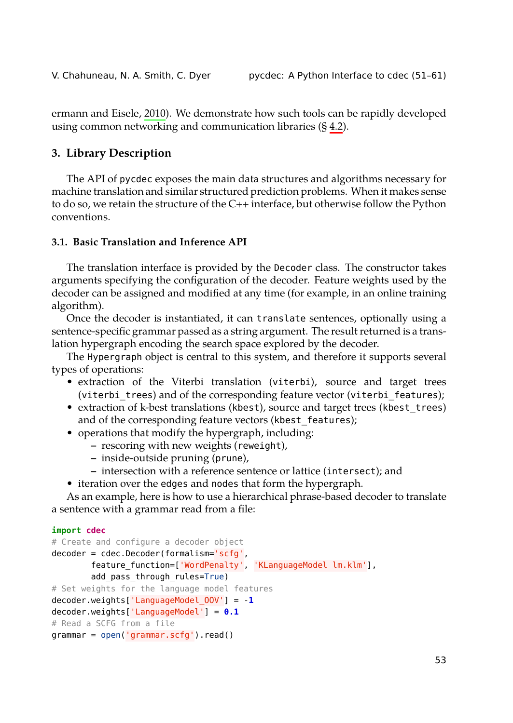V. Chahuneau, N. A. Smith, C. Dyer pycdec: A Python Interface to cdec (51–61)

ermann and Eisele, 2010). We demonstrate how such tools can be rapidly developed using common networking and communication libraries (§ 4.2).

### **3. Library Description**

The API of pycdec exposes the main data structures and algorithms necessary for machine translation and similar structured prediction problems. When it makes sense to do so, we retain the structure of the C++ interface, but otherwise follow the Python conventions.

### **3.1. Basic Translation and Inference API**

The translation interface is provided by the Decoder class. The constructor takes arguments specifying the configuration of the decoder. Feature weights used by the decoder can be assigned and modified at any time (for example, in an online training algorithm).

Once the decoder is instantiated, it can translate sentences, optionally using a sentence-specific grammar passed as a string argument. The result returned is a translation hypergraph encoding the search space explored by the decoder.

The Hypergraph object is central to this system, and therefore it supports several types of operations:

- extraction of the Viterbi translation (viterbi), source and target trees (viterbi\_trees) and of the corresponding feature vector (viterbi\_features);
- extraction of k-best translations (kbest), source and target trees (kbest\_trees) and of the corresponding feature vectors (kbest features);
- operations that modify the hypergraph, including:
	- **–** rescoring with new weights (reweight),
	- **–** inside-outside pruning (prune),
	- **–** intersection with a reference sentence or lattice (intersect); and
- iteration over the edges and nodes that form the hypergraph.

As an example, here is how to use a hierarchical phrase-based decoder to translate a sentence with a grammar read from a file:

### **import cdec**

```
# Create and configure a decoder object
decoder = cdec.Decoder(formalism='scfg',
        feature_function=['WordPenalty', 'KLanguageModel lm.klm'],
        add pass through rules=True)
# Set weights for the language model features
decoder.weights['LanguageModel_OOV'] = -1
decoder.weights['LanguageModel'] = 0.1
# Read a SCFG from a file
grammar = open('grammar.scfg').read()
```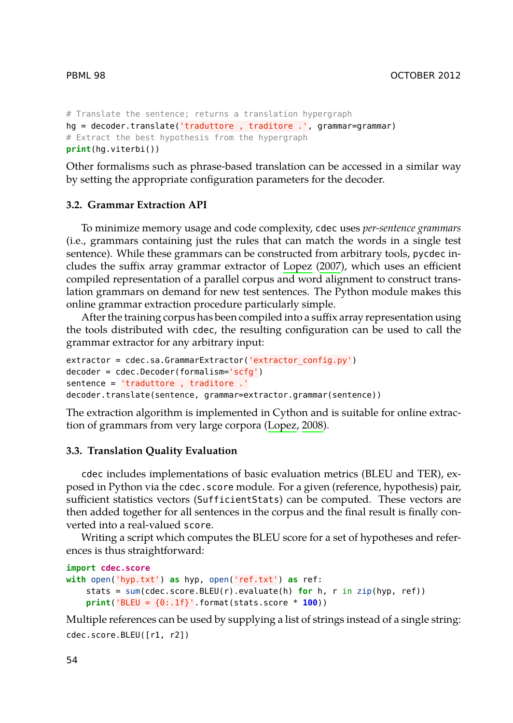<span id="page-3-0"></span>

```
# Translate the sentence; returns a translation hypergraph
hg = decoder.translate('traduttore , traditore .', grammar=grammar)
# Extract the best hypothesis from the hypergraph
print(hg.viterbi())
```
Other formalisms such as phrase-based translation can be accessed in a similar way by setting the appropriate configuration parameters for the decoder.

## **3.2. Grammar Extraction API**

To minimize memory usage and code complexity, cdec uses *per-sentence grammars* (i.e., grammars containing just the rules that can match the words in a single test sentence). While these grammars can be constructed from arbitrary tools, pycdec includes the suffix array grammar extractor of Lopez (2007), which uses an efficient compiled representation of a parallel corpus and word alignment to construct translation grammars on demand for new test sentences. The Python module makes this online grammar extraction procedure parti[cularly simp](#page-10-4)le.

After the training corpus has been compiled into a suffix array representation using the tools distributed with cdec, the resulting configuration can be used to call the grammar extractor for any arbitrary input:

```
extractor = cdec.sa.GrammarExtractor('extractor config.py')
decoder = cdec.Decoder(formalism='scfg')
sentence = 'traduttore , traditore .'
decoder.translate(sentence, grammar=extractor.grammar(sentence))
```
The extraction algorithm is implemented in Cython and is suitable for online extraction of grammars from very large corpora (Lopez, 2008).

## **3.3. Translation Quality Evaluation**

cdec includes implementations of basic evaluation metrics (BLEU and TER), exposed in Python via the cdec.score module. For a given (reference, hypothesis) pair, sufficient statistics vectors (SufficientStats) can be computed. These vectors are then added together for all sentences in the corpus and the final result is finally converted into a real-valued score.

Writing a script which computes the BLEU score for a set of hypotheses and references is thus straightforward:

```
import cdec.score
with open('hyp.txt') as hyp, open('ref.txt') as ref:
    stats = sum(cdec.score.BLEU(r).evaluate(h) for h, r in zip(hyp, ref))
    print('BLEU = \{0: .1f\}' format(stats.score * 100))
```
Multiple references can be used by supplying a list of strings instead of a single string: cdec.score.BLEU([r1, r2])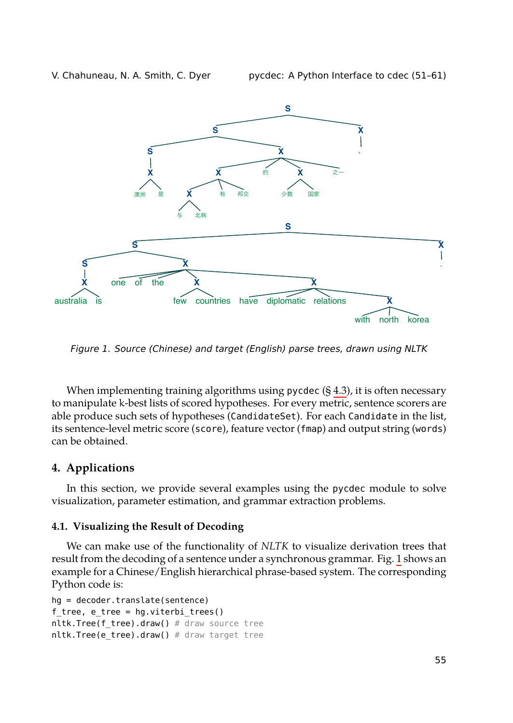

V. Chahuneau, N. A. Smith, C. Dyer pycdec: A Python Interface to cdec (51–61)

<span id="page-4-1"></span>*Figure 1. Source (Chinese) and target (English) parse trees, drawn using NLTK*

<span id="page-4-0"></span>When implementing training algorithms using pycdec  $(S, 4.3)$ , it is often necessary to manipulate k-best lists of scored hypotheses. For every metric, sentence scorers are able produce such sets of hypotheses (CandidateSet). For each Candidate in the list, its sentence-level metric score (score), feature vector (fmap) and output str[in](#page-4-1)g (words) can be obtained.

## **4. Applications**

In this section, we provide several examples using the pycdec module to solve visualization, parameter estimation, and grammar extraction problems.

### **4.1. Visualizing the Result of Decoding**

We can make use of the functionality of *NLTK* to visualize derivation trees that result from the decoding of a sentence under a synchronous grammar. Fig. 1 shows an example for a Chinese/English hierarchical phrase-based system. The corresponding Python code is:

```
hg = decoder.translate(sentence)
f_tree, e_tree = hg.viterbi_trees()
nltk.Tree(f_tree).draw() # draw source tree
nltk.Tree(e_tree).draw() # draw target tree
```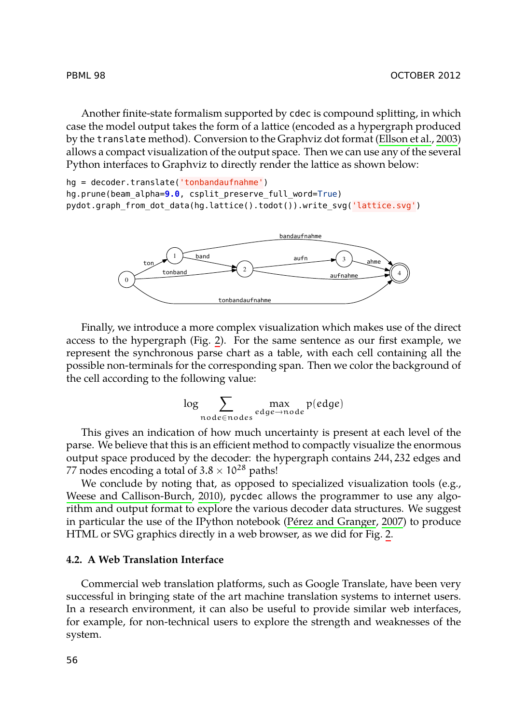Another finite-state formalism supported by cdec is compound splitting, in which case the model output takes the form of a lattice (encoded as a hypergraph produced by the translate method). Conversion to the Graphviz dot format (Ellson et al., 2003) allows a compact visualization of the output space. Then we can use any of the several Python interfaces to Graphviz to directly render the lattice as shown below:

hg = decoder.translate('tonbandaufnahme') hg.prune(beam\_alpha=**9.0**, csplit\_preserve\_full\_word=True) pydot.graph\_from\_dot\_data(hg.lattice().todot()).write\_svg('lattice.svg')



Finally, we introduce a more complex visualization which makes use of the direct access to the hypergraph (Fig. 2). For the same sentence as our first example, we represent the synchronous parse chart as a table, with each cell containing all the possible non-terminals for the corresponding span. Then we color the background of [the cell according to the fol](#page-10-2)l[owin](#page-10-2)g value:

$$
\log \sum_{\text{node} \in \text{nodes}} \max_{\text{edge} \rightarrow \text{node}} p(\text{edge})
$$

This gives an indication of how much uncertainty is present at each level of the parse. We believe that this is an efficient method to compactly visualize the enormous output space produced by the decoder: the hypergraph contains 244, 232 edges and 77 nodes encoding a total of  $3.8 \times 10^{28}$  paths!

We conclude by noting that, as opposed to specialized visualization tools (e.g., Weese and Callison-Burch, 2010), pycdec allows the programmer to use any algorithm and output format to explore the various decoder data structures. We suggest in particular the use of the IPython notebook (Pérez and Granger, 2007) to produce HTML or SVG graphics directly in a web browser, as we did for Fig. 2.

### **4.2. A Web Translation Interface**

Commercial web translation platforms, such as Google Translate, have been very successful in bringing state of the art machine translation systems to internet users. In a research environment, it can also be useful to provide similar web interfaces, for example, for non-technical users to explore the strength and weaknesses of the system.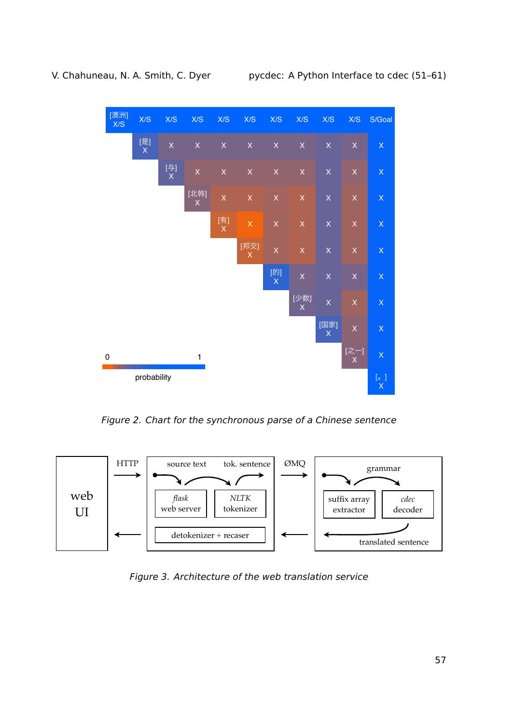

*Figure 2. Chart for the synchronous parse of a Chinese sentence*



*Figure 3. Architecture of the web translation service*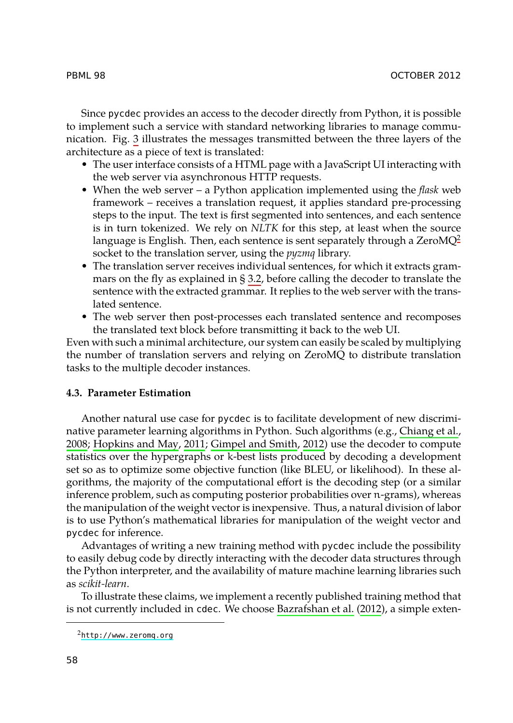Since pycdec provides an access to the decoder directly from Python, it is possibl[e](#page-7-0) to implement such a service with standard networking libraries to manage communication. Fig. 3 illustrates the messages transmitted between the three layers of the architecture as a piece of text is translated:

- The user interface consists of a H[TML](#page-3-0) page with a JavaScript UI interacting with the web server via asynchronous HTTP requests.
- When the web server a Python application implemented using the *flask* web framework – receives a translation request, it applies standard pre-processing steps to the input. The text is first segmented into sentences, and each sentence is in turn tokenized. We rely on *NLTK* for this step, at least when the source language is English. Then, each sentence is sent separately through a ZeroMQ<sup>2</sup> socket to the translation server, using the *pyzmq* library.
- The translation server receives individual sentences, for which it extracts grammars on the fly as explained in § 3.2, before calling the decoder to translate the sentence with the extracted grammar. It replies to the web server with the translated sentence.
- [•](#page-9-4) The web server then post-processes each translated sentence an[d recomposes](#page-9-4) [the translated text](#page-10-6) [block](#page-10-6) [before transmitting it bac](#page-10-7)k to the web UI.

Even with such a minimal architecture, our system can easily be scaled by multiplying the number of translation servers and relying on ZeroMQ to distribute translation tasks to the multiple decoder instances.

### **4.3. Parameter Estimation**

Another natural use case for pycdec is to facilitate development of new discriminative parameter learning algorithms in Python. Such algorithms (e.g., Chiang et al., 2008; Hopkins and May, 2011; Gimpel and Smith, 2012) use the decoder to compute statistics over the hypergraphs or k-best lists produced by decoding a development set so as to optimize some objective function (like BLEU, or likelihood). In these algorithms, the majority of the computational effort is the deco[ding](#page-9-5) step (or a similar inference problem, such as computing poster[ior probabilities o](#page-9-5)ver n-grams), whereas the manipulation of the weight vector is inexpensive. Thus, a natural division of labor is t[o use Python's math](http://www.zeromq.org)ematical libraries for manipulation of the weight vector and pycdec for inference.

<span id="page-7-0"></span>Advantages of writing a new training method with pycdec include the possibility to easily debug code by directly interacting with the decoder data structures through the Python interpreter, and the availability of mature machine learning libraries such as *scikit-learn*.

To illustrate these claims, we implement a recently published training method that is not currently included in cdec. We choose Bazrafshan et al. (2012), a simple exten-

<sup>2</sup>http://www.zeromq.org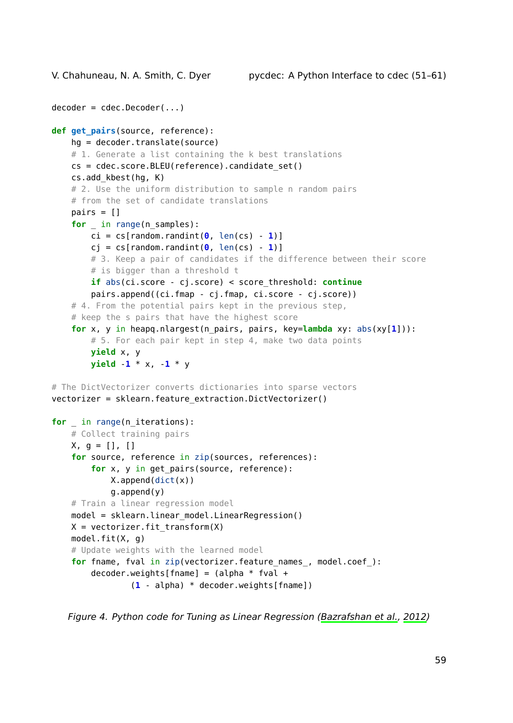V. Chahuneau, N. A. Smith, C. Dyer pycdec: A Python Interface to cdec (51–61)

```
decoder = cdec.Decoder(...)def get_pairs(source, reference):
   hg = decoder.translate(source)
   # 1. Generate a list containing the k best translations
   cs = cdec.score.BLEU(reference).candidate_set()
   cs.add_kbest(hg, K)
    # 2. Use the uniform distribution to sample n random pairs
   # from the set of candidate translations
    pairs = []for _ in range(n_samples):
       ci = cs[random.random(), len(cs) - 1]c_j = cs[random.random(), len(cs) - 1]# 3. Keep a pair of candidates if the difference between their score
       # is bigger than a threshold t
       if abs(ci.score - cj.score) < score_threshold: continue
       pairs.append((ci.fmap - cj.fmap, ci.score - cj.score))
    # 4. From the potential pairs kept in the previous step,
    # keep the s pairs that have the highest score
    for x, y in heapq.nlargest(n_pairs, pairs, key=lambda xy: abs(xy[1])):
       # 5. For each pair kept in step 4, make two data points
       yield x, y
       yield -1 * x, -1 * y
# The DictVectorizer converts dictionaries into sparse vectors
vectorizer = sklearn.feature_extraction.DictVectorizer()
```

```
for _ in range(n_iterations):
   # Collect training pairs
   X, q = [, ]for source, reference in zip(sources, references):
       for x, y in get_pairs(source, reference):
           X.append(dict(x))g.append(y)
    # Train a linear regression model
   model = sklearn. Linear model. LinearRegression()X = vectorizer.fit_transform(X)model.fit(X, g)
    # Update weights with the learned model
    for fname, fval in zip(vectorizer.feature_names_, model.coef_):
       decoder.weights[frame] = (alpha * fval +(1 - alpha) * decoder.weights[fname])
```
*Figure 4. Python code for Tuning as Linear Regression (Bazrafshan et al., 2012)*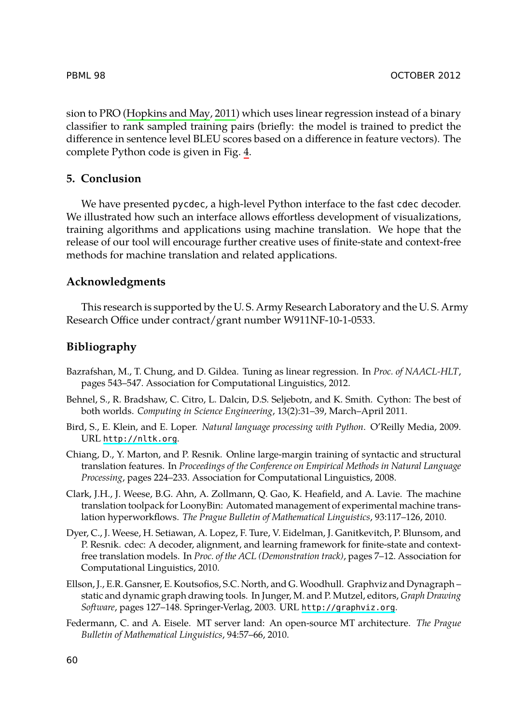sion to PRO (Hopkins and May, 2011) which uses linear regression instead of a binary classifier to rank sampled training pairs (briefly: the model is trained to predict the difference in sentence level BLEU scores based on a difference in feature vectors). The complete Python code is given in Fig. 4.

## **5. Conclusion**

We have presented pycdec, a high-level Python interface to the fast cdec decoder. We illustrated how such an interface allows effortless development of visualizations, training algorithms and applications using machine translation. We hope that the release of our tool will encourage further creative uses of finite-state and context-free methods for machine translation and related applications.

## <span id="page-9-5"></span><span id="page-9-1"></span>**Acknowledgments**

<span id="page-9-0"></span>This research is supported by the U. S. Army Research Laboratory and the U. S. Army Researc[h Office under c](http://nltk.org)ontract/grant number W911NF-10-1-0533.

## <span id="page-9-4"></span>**Bibliography**

- <span id="page-9-2"></span>Bazrafshan, M., T. Chung, and D. Gildea. Tuning as linear regression. In *Proc. of NAACL-HLT*, pages 543–547. Association for Computational Linguistics, 2012.
- Behnel, S., R. Bradshaw, C. Citro, L. Dalcin, D.S. Seljebotn, and K. Smith. Cython: The best of both worlds. *Computing in Science Engineering*, 13(2):31–39, March–April 2011.
- Bird, S., E. Klein, and E. Loper. *Natural language processing with Python*. O'Reilly Media, 2009. URL http://nltk.org.
- Chiang, D., Y. Marton, and P. Resnik. Online large-margin training of syntactic and structural translation features. In *Proceedings of the Conference on Empirical Methods in Natural Language Processing*, pages 224–233. Association for Computational Linguistics, 2008.
- <span id="page-9-3"></span>Clark, J.H., J. Weese, B.G. Ahn, A. Zollmann, Q. Gao, K[. Heafield, and A. Lavi](http://graphviz.org)e. The machine translation toolpack for LoonyBin: Automated management of experimental machine translation hyperworkflows. *The Prague Bulletin of Mathematical Linguistics*, 93:117–126, 2010.
- Dyer, C., J. Weese, H. Setiawan, A. Lopez, F. Ture, V. Eidelman, J. Ganitkevitch, P. Blunsom, and P. Resnik. cdec: A decoder, alignment, and learning framework for finite-state and contextfree translation models. In *Proc. of the ACL (Demonstration track)*, pages 7–12. Association for Computational Linguistics, 2010.
- Ellson, J., E.R. Gansner, E. Koutsofios, S.C. North, and G. Woodhull. Graphviz and Dynagraph static and dynamic graph drawing tools. In Junger, M. and P. Mutzel, editors, *Graph Drawing Software*, pages 127–148. Springer-Verlag, 2003. URL http://graphviz.org.
- Federmann, C. and A. Eisele. MT server land: An open-source MT architecture. *The Prague Bulletin of Mathematical Linguistics*, 94:57–66, 2010.